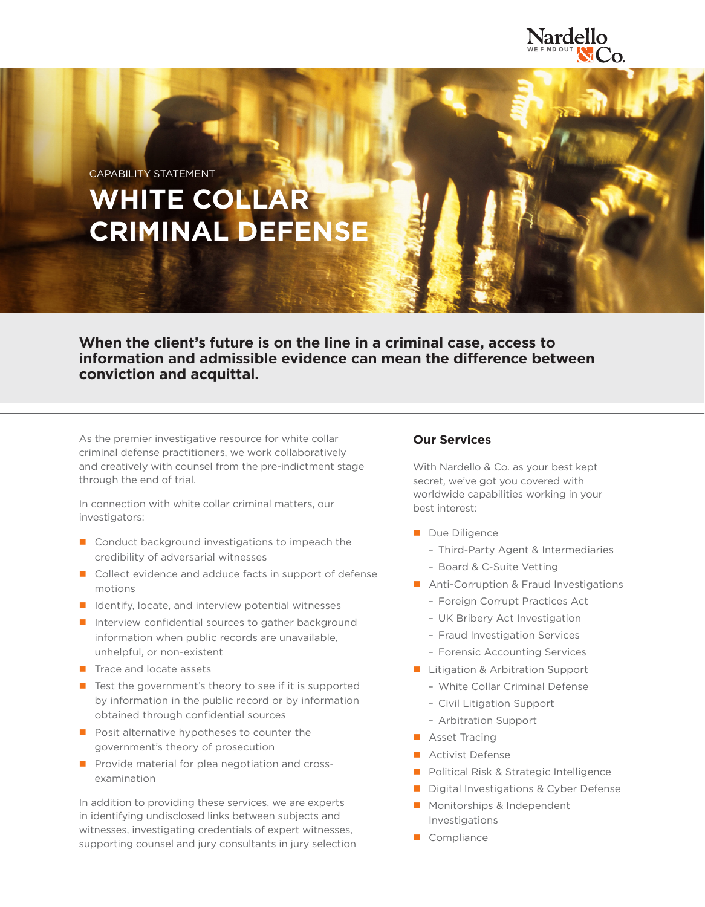

CAPABILITY STATEMENT

# **WHITE COLLAR CRIMINAL DEFENSE**

**When the client's future is on the line in a criminal case, access to information and admissible evidence can mean the difference between conviction and acquittal.**

As the premier investigative resource for white collar criminal defense practitioners, we work collaboratively and creatively with counsel from the pre-indictment stage through the end of trial.

In connection with white collar criminal matters, our investigators:

- Conduct background investigations to impeach the credibility of adversarial witnesses
- Collect evidence and adduce facts in support of defense motions
- $\blacksquare$  Identify, locate, and interview potential witnesses
- $\blacksquare$  Interview confidential sources to gather background information when public records are unavailable, unhelpful, or non-existent
- $\blacksquare$  Trace and locate assets
- $\blacksquare$  Test the government's theory to see if it is supported by information in the public record or by information obtained through confidential sources
- **Posit alternative hypotheses to counter the** government's theory of prosecution
- **Provide material for plea negotiation and cross**examination

In addition to providing these services, we are experts in identifying undisclosed links between subjects and witnesses, investigating credentials of expert witnesses, supporting counsel and jury consultants in jury selection

# **Our Services**

With Nardello & Co. as your best kept secret, we've got you covered with worldwide capabilities working in your best interest:

- Due Diligence
	- Third-Party Agent & Intermediaries
	- Board & C-Suite Vetting
- Anti-Corruption & Fraud Investigations
	- Foreign Corrupt Practices Act
	- UK Bribery Act Investigation
	- Fraud Investigation Services
	- Forensic Accounting Services
- **Litigation & Arbitration Support** 
	- White Collar Criminal Defense
	- Civil Litigation Support
	- Arbitration Support
- **Asset Tracing**
- **Activist Defense**
- **Political Risk & Strategic Intelligence**
- Digital Investigations & Cyber Defense
- **Monitorships & Independent** Investigations
- Compliance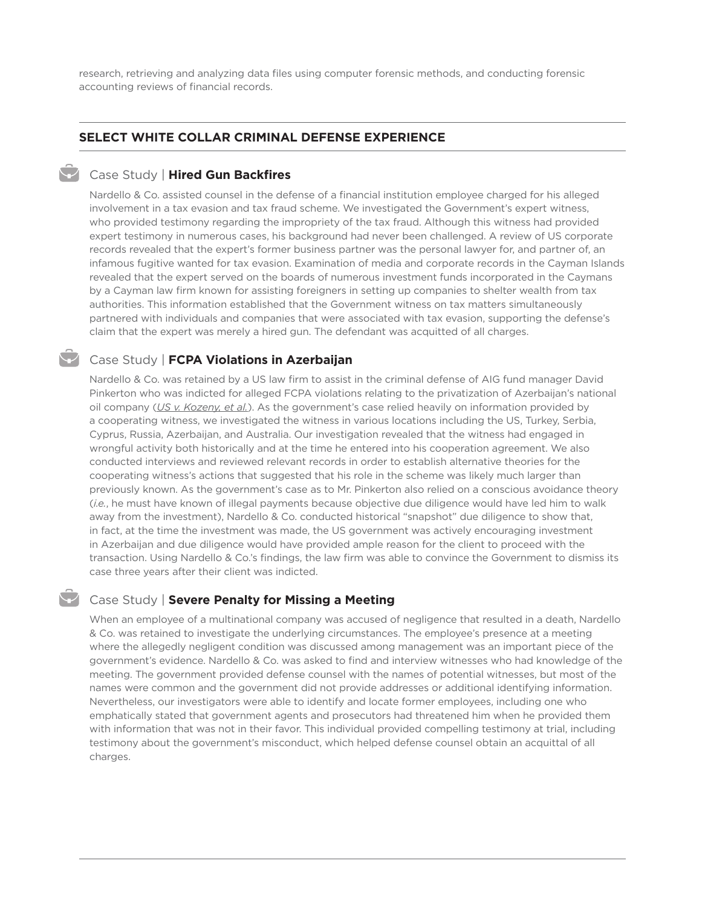research, retrieving and analyzing data files using computer forensic methods, and conducting forensic accounting reviews of financial records.

## **SELECT WHITE COLLAR CRIMINAL DEFENSE EXPERIENCE**

#### Case Study | **Hired Gun Backfires**

Nardello & Co. assisted counsel in the defense of a financial institution employee charged for his alleged involvement in a tax evasion and tax fraud scheme. We investigated the Government's expert witness, who provided testimony regarding the impropriety of the tax fraud. Although this witness had provided expert testimony in numerous cases, his background had never been challenged. A review of US corporate records revealed that the expert's former business partner was the personal lawyer for, and partner of, an infamous fugitive wanted for tax evasion. Examination of media and corporate records in the Cayman Islands revealed that the expert served on the boards of numerous investment funds incorporated in the Caymans by a Cayman law firm known for assisting foreigners in setting up companies to shelter wealth from tax authorities. This information established that the Government witness on tax matters simultaneously partnered with individuals and companies that were associated with tax evasion, supporting the defense's claim that the expert was merely a hired gun. The defendant was acquitted of all charges.

## Case Study | **FCPA Violations in Azerbaijan**

Nardello & Co. was retained by a US law firm to assist in the criminal defense of AIG fund manager David Pinkerton who was indicted for alleged FCPA violations relating to the privatization of Azerbaijan's national oil company (*US v. Kozeny, et al.*). As the government's case relied heavily on information provided by a cooperating witness, we investigated the witness in various locations including the US, Turkey, Serbia, Cyprus, Russia, Azerbaijan, and Australia. Our investigation revealed that the witness had engaged in wrongful activity both historically and at the time he entered into his cooperation agreement. We also conducted interviews and reviewed relevant records in order to establish alternative theories for the cooperating witness's actions that suggested that his role in the scheme was likely much larger than previously known. As the government's case as to Mr. Pinkerton also relied on a conscious avoidance theory (*i.e.*, he must have known of illegal payments because objective due diligence would have led him to walk away from the investment), Nardello & Co. conducted historical "snapshot" due diligence to show that, in fact, at the time the investment was made, the US government was actively encouraging investment in Azerbaijan and due diligence would have provided ample reason for the client to proceed with the transaction. Using Nardello & Co.'s findings, the law firm was able to convince the Government to dismiss its case three years after their client was indicted.

## Case Study | **Severe Penalty for Missing a Meeting**

When an employee of a multinational company was accused of negligence that resulted in a death, Nardello & Co. was retained to investigate the underlying circumstances. The employee's presence at a meeting where the allegedly negligent condition was discussed among management was an important piece of the government's evidence. Nardello & Co. was asked to find and interview witnesses who had knowledge of the meeting. The government provided defense counsel with the names of potential witnesses, but most of the names were common and the government did not provide addresses or additional identifying information. Nevertheless, our investigators were able to identify and locate former employees, including one who emphatically stated that government agents and prosecutors had threatened him when he provided them with information that was not in their favor. This individual provided compelling testimony at trial, including testimony about the government's misconduct, which helped defense counsel obtain an acquittal of all charges.